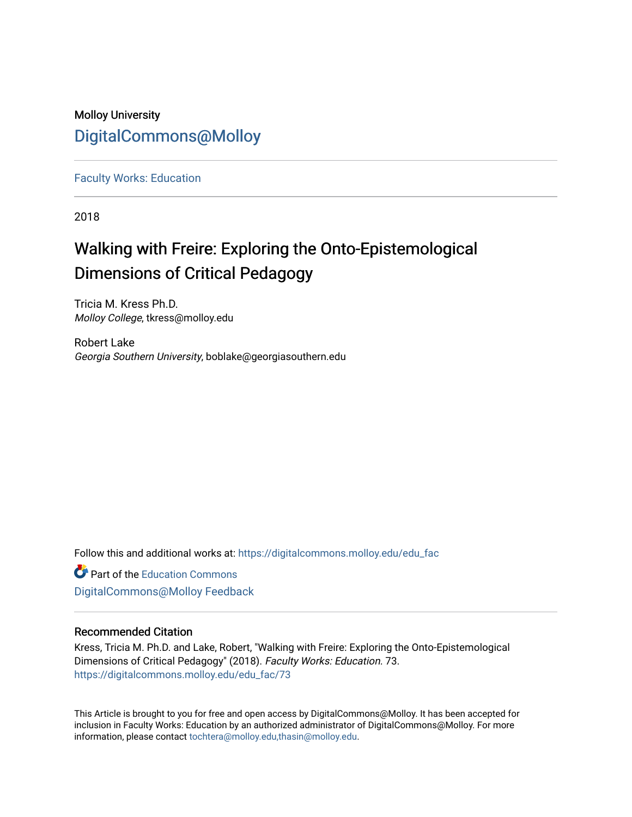# Molloy University [DigitalCommons@Molloy](https://digitalcommons.molloy.edu/)

[Faculty Works: Education](https://digitalcommons.molloy.edu/edu_fac) 

2018

# Walking with Freire: Exploring the Onto-Epistemological Dimensions of Critical Pedagogy

Tricia M. Kress Ph.D. Molloy College, tkress@molloy.edu

Robert Lake Georgia Southern University, boblake@georgiasouthern.edu

Follow this and additional works at: [https://digitalcommons.molloy.edu/edu\\_fac](https://digitalcommons.molloy.edu/edu_fac?utm_source=digitalcommons.molloy.edu%2Fedu_fac%2F73&utm_medium=PDF&utm_campaign=PDFCoverPages)

**Part of the [Education Commons](https://network.bepress.com/hgg/discipline/784?utm_source=digitalcommons.molloy.edu%2Fedu_fac%2F73&utm_medium=PDF&utm_campaign=PDFCoverPages)** [DigitalCommons@Molloy Feedback](https://molloy.libwizard.com/f/dcfeedback)

#### Recommended Citation

Kress, Tricia M. Ph.D. and Lake, Robert, "Walking with Freire: Exploring the Onto-Epistemological Dimensions of Critical Pedagogy" (2018). Faculty Works: Education. 73. [https://digitalcommons.molloy.edu/edu\\_fac/73](https://digitalcommons.molloy.edu/edu_fac/73?utm_source=digitalcommons.molloy.edu%2Fedu_fac%2F73&utm_medium=PDF&utm_campaign=PDFCoverPages) 

This Article is brought to you for free and open access by DigitalCommons@Molloy. It has been accepted for inclusion in Faculty Works: Education by an authorized administrator of DigitalCommons@Molloy. For more information, please contact [tochtera@molloy.edu,thasin@molloy.edu.](mailto:tochtera@molloy.edu,thasin@molloy.edu)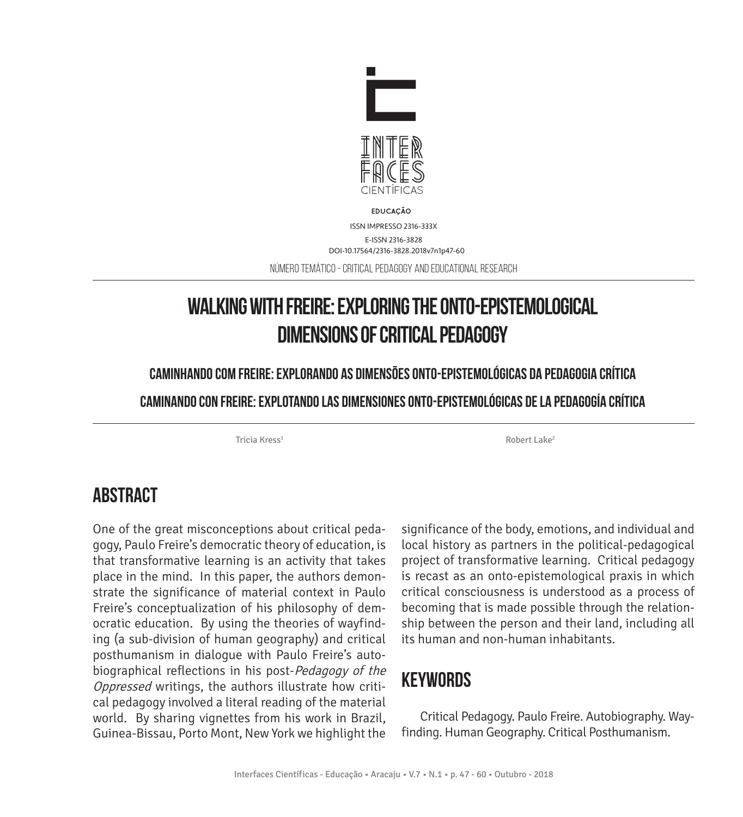

**EDUCAÇÃO** ISSN IMPRESSO 2316-333X E-ISSN 2316-3828 DOI-10.17564/2316-3828.2018v7n1p47-60

Número temático - Critical Pedagogy and Educational Research

# WALKING WITH FREIRE: EXPLORING THE ONTO-FPISTEMOLOGICAL DIMENSIONS OF CRITICAL PEDAGOGY

#### CAMINHANDO COM FREIRE: EXPLORANDO AS DIMENSÕES ONTO-EPISTEMOLÓGICAS DA PEDAGOGIA CRÍTICA

CAMINANDO CON FREIRE: EXPLOTANDO LAS DIMENSIONES ONTO-EPISTEMOLÓGICAS DE LA PEDAGOGÍA CRÍTICA

Tricia Kress<sup>1</sup> Robert Lake2

## **ABSTRACT**

One of the great misconceptions about critical pedagogy, Paulo Freire's democratic theory of education, is that transformative learning is an activity that takes place in the mind. In this paper, the authors demonstrate the significance of material context in Paulo Freire's conceptualization of his philosophy of democratic education. By using the theories of wayfinding (a sub-division of human geography) and critical posthumanism in dialogue with Paulo Freire's autobiographical reflections in his post-Pedagogy of the Oppressed writings, the authors illustrate how critical pedagogy involved a literal reading of the material world. By sharing vignettes from his work in Brazil, Guinea-Bissau, Porto Mont, New York we highlight the

significance of the body, emotions, and individual and local history as partners in the political-pedagogical project of transformative learning. Critical pedagogy is recast as an onto-epistemological praxis in which critical consciousness is understood as a process of becoming that is made possible through the relationship between the person and their land, including all its human and non-human inhabitants.

## **Keywords**

Critical Pedagogy. Paulo Freire. Autobiography. Wayfinding. Human Geography. Critical Posthumanism.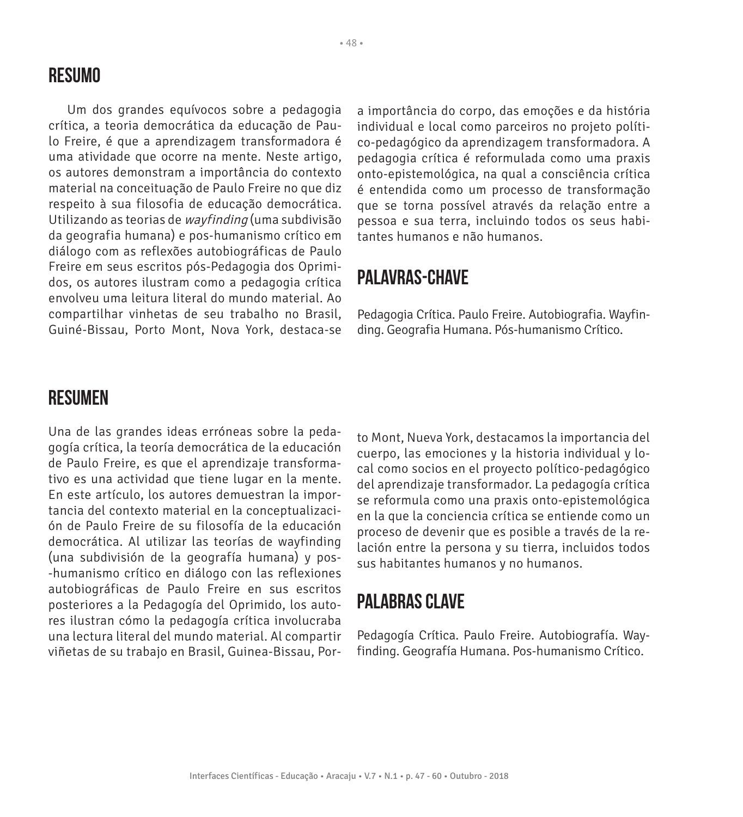Um dos grandes equívocos sobre a pedagogia crítica, a teoria democrática da educação de Paulo Freire, é que a aprendizagem transformadora é uma atividade que ocorre na mente. Neste artigo, os autores demonstram a importância do contexto material na conceituação de Paulo Freire no que diz respeito à sua filosofia de educação democrática. Utilizando as teorias de wayfinding (uma subdivisão da geografia humana) e pos-humanismo crítico em diálogo com as reflexões autobiográficas de Paulo Freire em seus escritos pós-Pedagogia dos Oprimidos, os autores ilustram como a pedagogia crítica envolveu uma leitura literal do mundo material. Ao compartilhar vinhetas de seu trabalho no Brasil, Guiné-Bissau, Porto Mont, Nova York, destaca-se

a importância do corpo, das emoções e da história individual e local como parceiros no projeto político-pedagógico da aprendizagem transformadora. A pedagogia crítica é reformulada como uma praxis onto-epistemológica, na qual a consciência crítica é entendida como um processo de transformação que se torna possível através da relação entre a pessoa e sua terra, incluindo todos os seus habitantes humanos e não humanos.

### **Palavras-chave**

Pedagogia Crítica. Paulo Freire. Autobiografia. Wayfinding. Geografia Humana. Pós-humanismo Crítico.

### **RESUMEN**

Una de las grandes ideas erróneas sobre la pedagogía crítica, la teoría democrática de la educación de Paulo Freire, es que el aprendizaje transformativo es una actividad que tiene lugar en la mente. En este artículo, los autores demuestran la importancia del contexto material en la conceptualización de Paulo Freire de su filosofía de la educación democrática. Al utilizar las teorías de wayfinding (una subdivisión de la geografía humana) y pos- -humanismo crítico en diálogo con las reflexiones autobiográficas de Paulo Freire en sus escritos posteriores a la Pedagogía del Oprimido, los autores ilustran cómo la pedagogía crítica involucraba una lectura literal del mundo material. Al compartir viñetas de su trabajo en Brasil, Guinea-Bissau, Por-

to Mont, Nueva York, destacamos la importancia del cuerpo, las emociones y la historia individual y local como socios en el proyecto político-pedagógico del aprendizaje transformador. La pedagogía crítica se reformula como una praxis onto-epistemológica en la que la conciencia crítica se entiende como un proceso de devenir que es posible a través de la relación entre la persona y su tierra, incluidos todos sus habitantes humanos y no humanos.

## **Palabras clave**

Pedagogía Crítica. Paulo Freire. Autobiografía. Wayfinding. Geografía Humana. Pos-humanismo Crítico.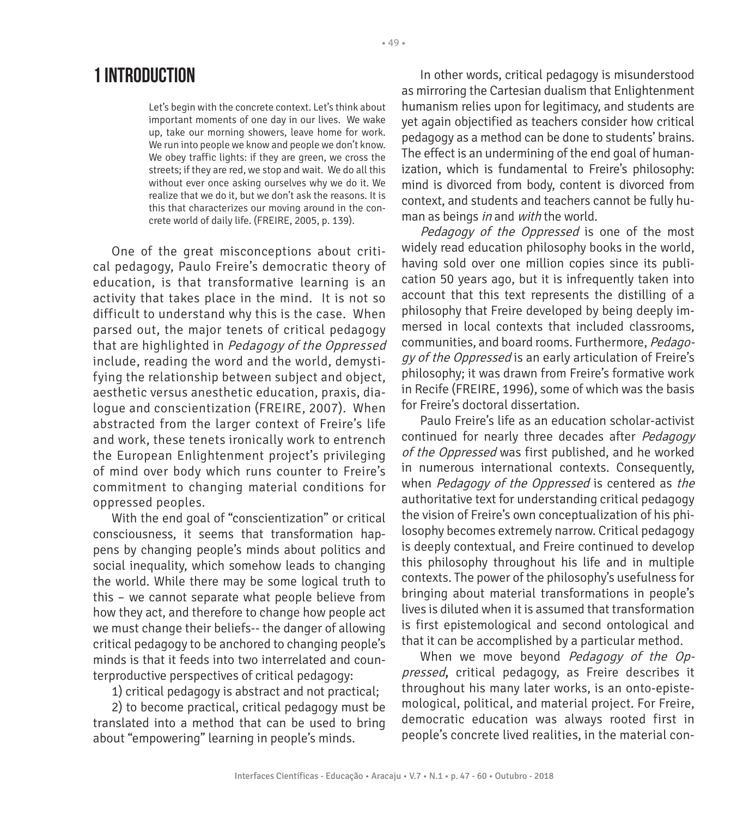#### **1 INTRODUCTION**

Let's begin with the concrete context. Let's think about important moments of one day in our lives. We wake up, take our morning showers, leave home for work. We run into people we know and people we don't know. We obey traffic lights: if they are green, we cross the streets; if they are red, we stop and wait. We do all this without ever once asking ourselves why we do it. We realize that we do it, but we don't ask the reasons. It is this that characterizes our moving around in the concrete world of daily life. (FREIRE, 2005, p. 139).

One of the great misconceptions about critical pedagogy, Paulo Freire's democratic theory of education, is that transformative learning is an activity that takes place in the mind. It is not so difficult to understand why this is the case. When parsed out, the major tenets of critical pedagogy that are highlighted in Pedagogy of the Oppressed include, reading the word and the world, demystifying the relationship between subject and object, aesthetic versus anesthetic education, praxis, dialogue and conscientization (FREIRE, 2007). When abstracted from the larger context of Freire's life and work, these tenets ironically work to entrench the European Enlightenment project's privileging of mind over body which runs counter to Freire's commitment to changing material conditions for oppressed peoples.

With the end goal of "conscientization" or critical consciousness, it seems that transformation happens by changing people's minds about politics and social inequality, which somehow leads to changing the world. While there may be some logical truth to this – we cannot separate what people believe from how they act, and therefore to change how people act we must change their beliefs-- the danger of allowing critical pedagogy to be anchored to changing people's minds is that it feeds into two interrelated and counterproductive perspectives of critical pedagogy:

1) critical pedagogy is abstract and not practical;

2) to become practical, critical pedagogy must be translated into a method that can be used to bring about "empowering" learning in people's minds.

In other words, critical pedagogy is misunderstood as mirroring the Cartesian dualism that Enlightenment humanism relies upon for legitimacy, and students are yet again objectified as teachers consider how critical pedagogy as a method can be done to students' brains. The effect is an undermining of the end goal of humanization, which is fundamental to Freire's philosophy: mind is divorced from body, content is divorced from context, and students and teachers cannot be fully human as beings in and with the world.

Pedagogy of the Oppressed is one of the most widely read education philosophy books in the world, having sold over one million copies since its publication 50 years ago, but it is infrequently taken into account that this text represents the distilling of a philosophy that Freire developed by being deeply immersed in local contexts that included classrooms, communities, and board rooms. Furthermore, Pedagogy of the Oppressed is an early articulation of Freire's philosophy; it was drawn from Freire's formative work in Recife (FREIRE, 1996), some of which was the basis for Freire's doctoral dissertation.

Paulo Freire's life as an education scholar-activist continued for nearly three decades after Pedagogy of the Oppressed was first published, and he worked in numerous international contexts. Consequently, when Pedagogy of the Oppressed is centered as the authoritative text for understanding critical pedagogy the vision of Freire's own conceptualization of his philosophy becomes extremely narrow. Critical pedagogy is deeply contextual, and Freire continued to develop this philosophy throughout his life and in multiple contexts. The power of the philosophy's usefulness for bringing about material transformations in people's lives is diluted when it is assumed that transformation is first epistemological and second ontological and that it can be accomplished by a particular method.

When we move beyond *Pedagogy of the Op*pressed, critical pedagogy, as Freire describes it throughout his many later works, is an onto-epistemological, political, and material project. For Freire, democratic education was always rooted first in people's concrete lived realities, in the material con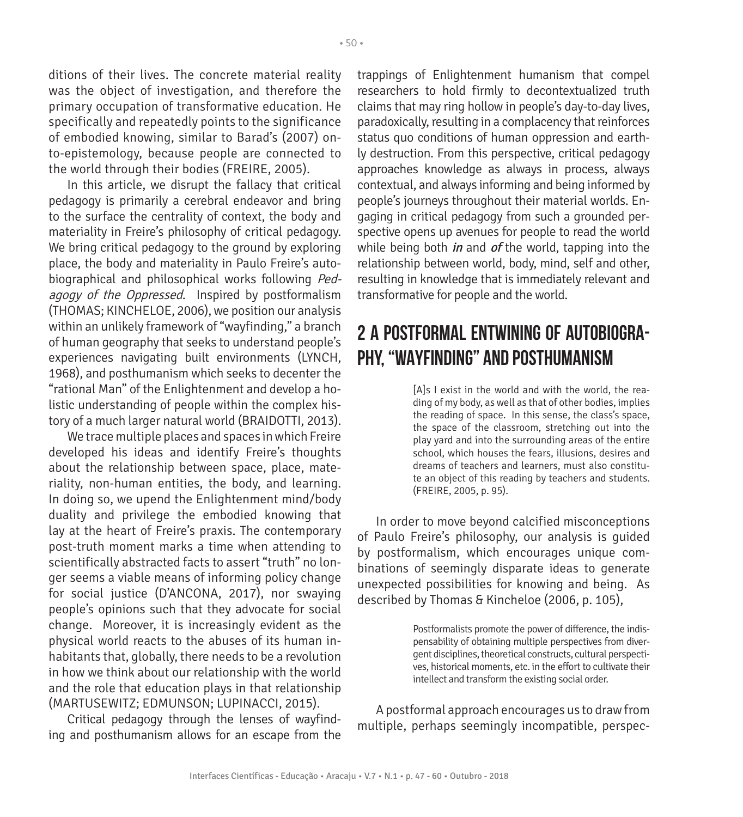ditions of their lives. The concrete material reality was the object of investigation, and therefore the primary occupation of transformative education. He specifically and repeatedly points to the significance of embodied knowing, similar to Barad's (2007) onto-epistemology, because people are connected to the world through their bodies (FREIRE, 2005).

In this article, we disrupt the fallacy that critical pedagogy is primarily a cerebral endeavor and bring to the surface the centrality of context, the body and materiality in Freire's philosophy of critical pedagogy. We bring critical pedagogy to the ground by exploring place, the body and materiality in Paulo Freire's autobiographical and philosophical works following Pedagogy of the Oppressed. Inspired by postformalism (THOMAS; KINCHELOE, 2006), we position our analysis within an unlikely framework of "wayfinding," a branch of human geography that seeks to understand people's experiences navigating built environments (LYNCH, 1968), and posthumanism which seeks to decenter the "rational Man" of the Enlightenment and develop a holistic understanding of people within the complex history of a much larger natural world (BRAIDOTTI, 2013).

We trace multiple places and spaces in which Freire developed his ideas and identify Freire's thoughts about the relationship between space, place, materiality, non-human entities, the body, and learning. In doing so, we upend the Enlightenment mind/body duality and privilege the embodied knowing that lay at the heart of Freire's praxis. The contemporary post-truth moment marks a time when attending to scientifically abstracted facts to assert "truth" no longer seems a viable means of informing policy change for social justice (D'ANCONA, 2017), nor swaying people's opinions such that they advocate for social change. Moreover, it is increasingly evident as the physical world reacts to the abuses of its human inhabitants that, globally, there needs to be a revolution in how we think about our relationship with the world and the role that education plays in that relationship (MARTUSEWITZ; EDMUNSON; LUPINACCI, 2015).

Critical pedagogy through the lenses of wayfinding and posthumanism allows for an escape from the trappings of Enlightenment humanism that compel researchers to hold firmly to decontextualized truth claims that may ring hollow in people's day-to-day lives, paradoxically, resulting in a complacency that reinforces status quo conditions of human oppression and earthly destruction. From this perspective, critical pedagogy approaches knowledge as always in process, always contextual, and always informing and being informed by people's journeys throughout their material worlds. Engaging in critical pedagogy from such a grounded perspective opens up avenues for people to read the world while being both  $in$  and  $of$  the world, tapping into the relationship between world, body, mind, self and other, resulting in knowledge that is immediately relevant and transformative for people and the world.

# **2 A POSTFORMAL ENTWINING OF AUTOBIOGRA-PHY, "WAYFINDING" AND POSTHUMANISM**

[A]s I exist in the world and with the world, the reading of my body, as well as that of other bodies, implies the reading of space. In this sense, the class's space, the space of the classroom, stretching out into the play yard and into the surrounding areas of the entire school, which houses the fears, illusions, desires and dreams of teachers and learners, must also constitute an object of this reading by teachers and students. (FREIRE, 2005, p. 95).

In order to move beyond calcified misconceptions of Paulo Freire's philosophy, our analysis is guided by postformalism, which encourages unique combinations of seemingly disparate ideas to generate unexpected possibilities for knowing and being. As described by Thomas & Kincheloe (2006, p. 105),

> Postformalists promote the power of difference, the indispensability of obtaining multiple perspectives from divergent disciplines, theoretical constructs, cultural perspectives, historical moments, etc. in the effort to cultivate their intellect and transform the existing social order.

A postformal approach encourages us to draw from multiple, perhaps seemingly incompatible, perspec-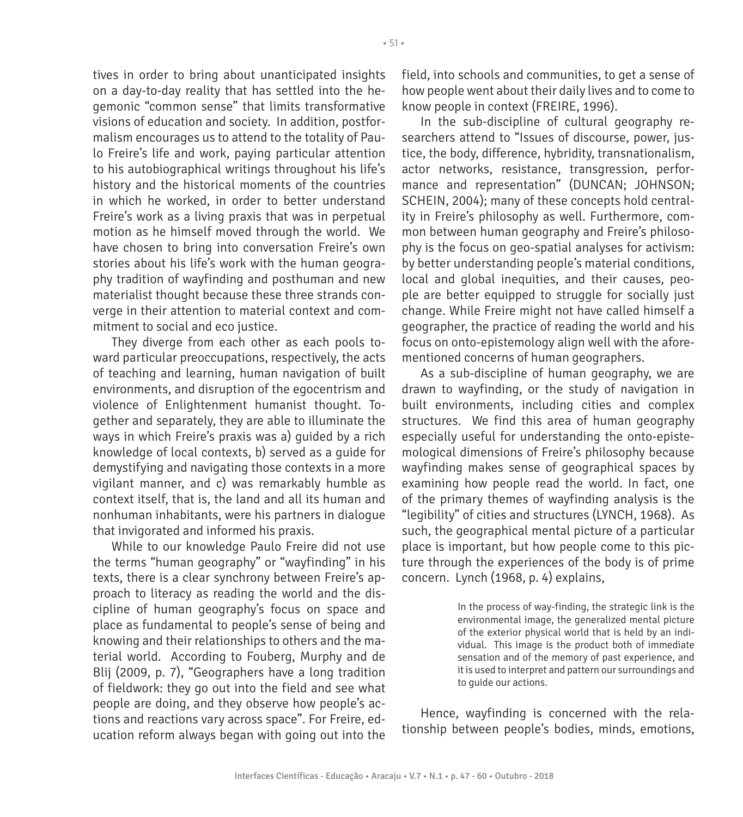tives in order to bring about unanticipated insights on a day-to-day reality that has settled into the hegemonic "common sense" that limits transformative visions of education and society. In addition, postformalism encourages us to attend to the totality of Paulo Freire's life and work, paying particular attention to his autobiographical writings throughout his life's history and the historical moments of the countries in which he worked, in order to better understand Freire's work as a living praxis that was in perpetual motion as he himself moved through the world. We have chosen to bring into conversation Freire's own stories about his life's work with the human geography tradition of wayfinding and posthuman and new materialist thought because these three strands converge in their attention to material context and commitment to social and eco justice.

They diverge from each other as each pools toward particular preoccupations, respectively, the acts of teaching and learning, human navigation of built environments, and disruption of the egocentrism and violence of Enlightenment humanist thought. Together and separately, they are able to illuminate the ways in which Freire's praxis was a) guided by a rich knowledge of local contexts, b) served as a guide for demystifying and navigating those contexts in a more vigilant manner, and c) was remarkably humble as context itself, that is, the land and all its human and nonhuman inhabitants, were his partners in dialogue that invigorated and informed his praxis.

While to our knowledge Paulo Freire did not use the terms "human geography" or "wayfinding" in his texts, there is a clear synchrony between Freire's approach to literacy as reading the world and the discipline of human geography's focus on space and place as fundamental to people's sense of being and knowing and their relationships to others and the material world. According to Fouberg, Murphy and de Blij (2009, p. 7), "Geographers have a long tradition of fieldwork: they go out into the field and see what people are doing, and they observe how people's actions and reactions vary across space". For Freire, education reform always began with going out into the

field, into schools and communities, to get a sense of how people went about their daily lives and to come to know people in context (FREIRE, 1996).

In the sub-discipline of cultural geography researchers attend to "Issues of discourse, power, justice, the body, difference, hybridity, transnationalism, actor networks, resistance, transgression, performance and representation" (DUNCAN; JOHNSON; SCHEIN, 2004); many of these concepts hold centrality in Freire's philosophy as well. Furthermore, common between human geography and Freire's philosophy is the focus on geo-spatial analyses for activism: by better understanding people's material conditions, local and global inequities, and their causes, people are better equipped to struggle for socially just change. While Freire might not have called himself a geographer, the practice of reading the world and his focus on onto-epistemology align well with the aforementioned concerns of human geographers.

As a sub-discipline of human geography, we are drawn to wayfinding, or the study of navigation in built environments, including cities and complex structures. We find this area of human geography especially useful for understanding the onto-epistemological dimensions of Freire's philosophy because wayfinding makes sense of geographical spaces by examining how people read the world. In fact, one of the primary themes of wayfinding analysis is the "legibility" of cities and structures (LYNCH, 1968). As such, the geographical mental picture of a particular place is important, but how people come to this picture through the experiences of the body is of prime concern. Lynch (1968, p. 4) explains,

> In the process of way-finding, the strategic link is the environmental image, the generalized mental picture of the exterior physical world that is held by an individual. This image is the product both of immediate sensation and of the memory of past experience, and it is used to interpret and pattern our surroundings and to guide our actions.

Hence, wayfinding is concerned with the relationship between people's bodies, minds, emotions,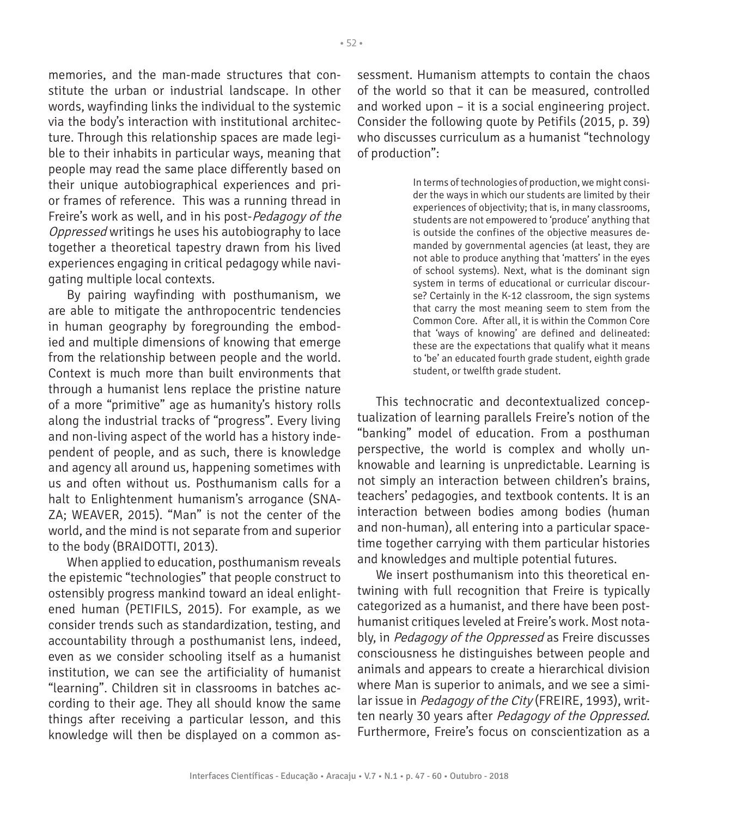memories, and the man-made structures that constitute the urban or industrial landscape. In other words, wayfinding links the individual to the systemic via the body's interaction with institutional architecture. Through this relationship spaces are made legible to their inhabits in particular ways, meaning that people may read the same place differently based on their unique autobiographical experiences and prior frames of reference. This was a running thread in Freire's work as well, and in his post-Pedagogy of the Oppressed writings he uses his autobiography to lace together a theoretical tapestry drawn from his lived experiences engaging in critical pedagogy while navigating multiple local contexts.

By pairing wayfinding with posthumanism, we are able to mitigate the anthropocentric tendencies in human geography by foregrounding the embodied and multiple dimensions of knowing that emerge from the relationship between people and the world. Context is much more than built environments that through a humanist lens replace the pristine nature of a more "primitive" age as humanity's history rolls along the industrial tracks of "progress". Every living and non-living aspect of the world has a history independent of people, and as such, there is knowledge and agency all around us, happening sometimes with us and often without us. Posthumanism calls for a halt to Enlightenment humanism's arrogance (SNA-ZA; WEAVER, 2015). "Man" is not the center of the world, and the mind is not separate from and superior to the body (BRAIDOTTI, 2013).

When applied to education, posthumanism reveals the epistemic "technologies" that people construct to ostensibly progress mankind toward an ideal enlightened human (PETIFILS, 2015). For example, as we consider trends such as standardization, testing, and accountability through a posthumanist lens, indeed, even as we consider schooling itself as a humanist institution, we can see the artificiality of humanist "learning". Children sit in classrooms in batches according to their age. They all should know the same things after receiving a particular lesson, and this knowledge will then be displayed on a common assessment. Humanism attempts to contain the chaos of the world so that it can be measured, controlled and worked upon – it is a social engineering project. Consider the following quote by Petifils (2015, p. 39) who discusses curriculum as a humanist "technology of production":

> In terms of technologies of production, we might consider the ways in which our students are limited by their experiences of objectivity; that is, in many classrooms, students are not empowered to 'produce' anything that is outside the confines of the objective measures demanded by governmental agencies (at least, they are not able to produce anything that 'matters' in the eyes of school systems). Next, what is the dominant sign system in terms of educational or curricular discourse? Certainly in the K-12 classroom, the sign systems that carry the most meaning seem to stem from the Common Core. After all, it is within the Common Core that 'ways of knowing' are defined and delineated: these are the expectations that qualify what it means to 'be' an educated fourth grade student, eighth grade student, or twelfth grade student.

This technocratic and decontextualized conceptualization of learning parallels Freire's notion of the "banking" model of education. From a posthuman perspective, the world is complex and wholly unknowable and learning is unpredictable. Learning is not simply an interaction between children's brains, teachers' pedagogies, and textbook contents. It is an interaction between bodies among bodies (human and non-human), all entering into a particular spacetime together carrying with them particular histories and knowledges and multiple potential futures.

We insert posthumanism into this theoretical entwining with full recognition that Freire is typically categorized as a humanist, and there have been posthumanist critiques leveled at Freire's work. Most notably, in Pedagogy of the Oppressed as Freire discusses consciousness he distinguishes between people and animals and appears to create a hierarchical division where Man is superior to animals, and we see a similar issue in Pedagogy of the City (FREIRE, 1993), written nearly 30 years after Pedagogy of the Oppressed. Furthermore, Freire's focus on conscientization as a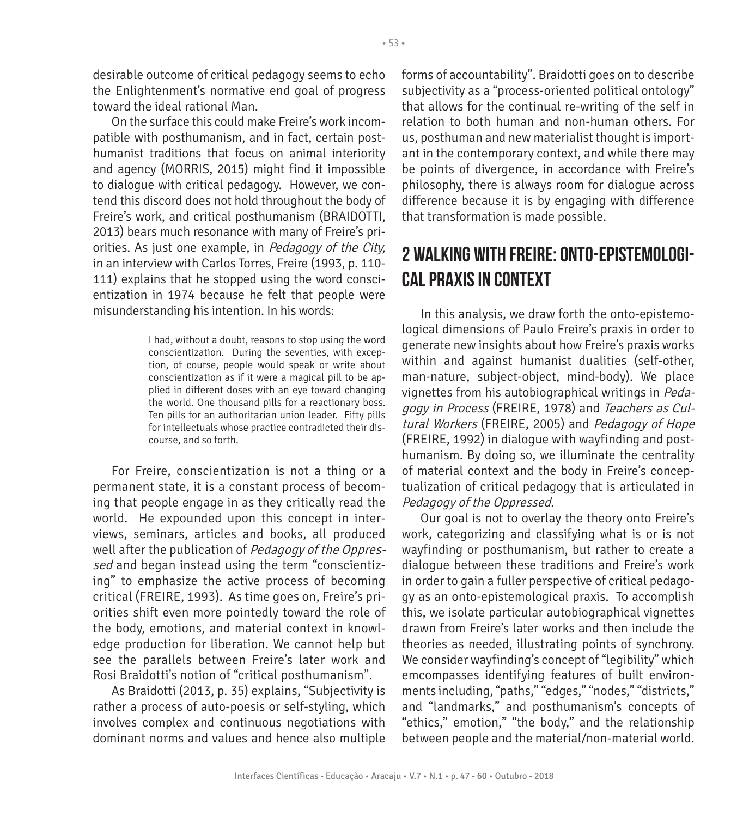desirable outcome of critical pedagogy seems to echo the Enlightenment's normative end goal of progress toward the ideal rational Man.

On the surface this could make Freire's work incompatible with posthumanism, and in fact, certain posthumanist traditions that focus on animal interiority and agency (MORRIS, 2015) might find it impossible to dialogue with critical pedagogy. However, we contend this discord does not hold throughout the body of Freire's work, and critical posthumanism (BRAIDOTTI, 2013) bears much resonance with many of Freire's priorities. As just one example, in Pedagogy of the City, in an interview with Carlos Torres, Freire (1993, p. 110- 111) explains that he stopped using the word conscientization in 1974 because he felt that people were misunderstanding his intention. In his words:

> I had, without a doubt, reasons to stop using the word conscientization. During the seventies, with exception, of course, people would speak or write about conscientization as if it were a magical pill to be applied in different doses with an eye toward changing the world. One thousand pills for a reactionary boss. Ten pills for an authoritarian union leader. Fifty pills for intellectuals whose practice contradicted their discourse, and so forth.

For Freire, conscientization is not a thing or a permanent state, it is a constant process of becoming that people engage in as they critically read the world. He expounded upon this concept in interviews, seminars, articles and books, all produced well after the publication of Pedagogy of the Oppressed and began instead using the term "conscientizing" to emphasize the active process of becoming critical (FREIRE, 1993). As time goes on, Freire's priorities shift even more pointedly toward the role of the body, emotions, and material context in knowledge production for liberation. We cannot help but see the parallels between Freire's later work and Rosi Braidotti's notion of "critical posthumanism".

As Braidotti (2013, p. 35) explains, "Subjectivity is rather a process of auto-poesis or self-styling, which involves complex and continuous negotiations with dominant norms and values and hence also multiple forms of accountability". Braidotti goes on to describe subjectivity as a "process-oriented political ontology" that allows for the continual re-writing of the self in relation to both human and non-human others. For us, posthuman and new materialist thought is important in the contemporary context, and while there may be points of divergence, in accordance with Freire's philosophy, there is always room for dialogue across difference because it is by engaging with difference that transformation is made possible.

# **2 WALKING WITH FREIRE: ONTO-EPISTEMOLOGI-CAL PRAXIS IN CONTEXT**

In this analysis, we draw forth the onto-epistemological dimensions of Paulo Freire's praxis in order to generate new insights about how Freire's praxis works within and against humanist dualities (self-other, man-nature, subject-object, mind-body). We place vignettes from his autobiographical writings in Pedagogy in Process (FREIRE, 1978) and Teachers as Cultural Workers (FREIRE, 2005) and Pedagogy of Hope (FREIRE, 1992) in dialogue with wayfinding and posthumanism. By doing so, we illuminate the centrality of material context and the body in Freire's conceptualization of critical pedagogy that is articulated in Pedagogy of the Oppressed.

Our goal is not to overlay the theory onto Freire's work, categorizing and classifying what is or is not wayfinding or posthumanism, but rather to create a dialogue between these traditions and Freire's work in order to gain a fuller perspective of critical pedagogy as an onto-epistemological praxis. To accomplish this, we isolate particular autobiographical vignettes drawn from Freire's later works and then include the theories as needed, illustrating points of synchrony. We consider wayfinding's concept of "legibility" which emcompasses identifying features of built environments including, "paths," "edges," "nodes," "districts," and "landmarks," and posthumanism's concepts of "ethics," emotion," "the body," and the relationship between people and the material/non-material world.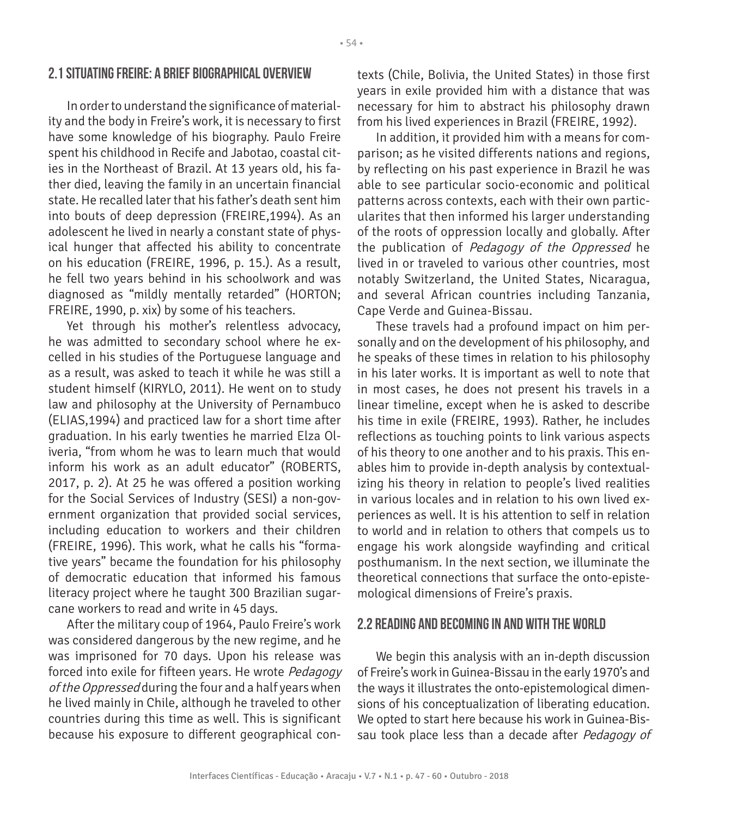#### 2.1 SITUATING FREIRE: A BRIEF BIOGRAPHICAL OVERVIEW

In order to understand the significance of materiality and the body in Freire's work, it is necessary to first have some knowledge of his biography. Paulo Freire spent his childhood in Recife and Jabotao, coastal cities in the Northeast of Brazil. At 13 years old, his father died, leaving the family in an uncertain financial state. He recalled later that his father's death sent him into bouts of deep depression (FREIRE,1994). As an adolescent he lived in nearly a constant state of physical hunger that affected his ability to concentrate on his education (FREIRE, 1996, p. 15.). As a result, he fell two years behind in his schoolwork and was diagnosed as "mildly mentally retarded" (HORTON; FREIRE, 1990, p. xix) by some of his teachers.

Yet through his mother's relentless advocacy, he was admitted to secondary school where he excelled in his studies of the Portuguese language and as a result, was asked to teach it while he was still a student himself (KIRYLO, 2011). He went on to study law and philosophy at the University of Pernambuco (ELIAS,1994) and practiced law for a short time after graduation. In his early twenties he married Elza Oliveria, "from whom he was to learn much that would inform his work as an adult educator" (ROBERTS, 2017, p. 2). At 25 he was offered a position working for the Social Services of Industry (SESI) a non-government organization that provided social services, including education to workers and their children (FREIRE, 1996). This work, what he calls his "formative years" became the foundation for his philosophy of democratic education that informed his famous literacy project where he taught 300 Brazilian sugarcane workers to read and write in 45 days.

After the military coup of 1964, Paulo Freire's work was considered dangerous by the new regime, and he was imprisoned for 70 days. Upon his release was forced into exile for fifteen years. He wrote Pedagogy of the Oppressed during the four and a half years when he lived mainly in Chile, although he traveled to other countries during this time as well. This is significant because his exposure to different geographical con-

texts (Chile, Bolivia, the United States) in those first years in exile provided him with a distance that was necessary for him to abstract his philosophy drawn from his lived experiences in Brazil (FREIRE, 1992).

In addition, it provided him with a means for comparison; as he visited differents nations and regions, by reflecting on his past experience in Brazil he was able to see particular socio-economic and political patterns across contexts, each with their own particularites that then informed his larger understanding of the roots of oppression locally and globally. After the publication of Pedagogy of the Oppressed he lived in or traveled to various other countries, most notably Switzerland, the United States, Nicaragua, and several African countries including Tanzania, Cape Verde and Guinea-Bissau.

These travels had a profound impact on him personally and on the development of his philosophy, and he speaks of these times in relation to his philosophy in his later works. It is important as well to note that in most cases, he does not present his travels in a linear timeline, except when he is asked to describe his time in exile (FREIRE, 1993). Rather, he includes reflections as touching points to link various aspects of his theory to one another and to his praxis. This enables him to provide in-depth analysis by contextualizing his theory in relation to people's lived realities in various locales and in relation to his own lived experiences as well. It is his attention to self in relation to world and in relation to others that compels us to engage his work alongside wayfinding and critical posthumanism. In the next section, we illuminate the theoretical connections that surface the onto-epistemological dimensions of Freire's praxis.

#### 2.2 READING AND BECOMING IN AND WITH THE WORLD

We begin this analysis with an in-depth discussion of Freire's work in Guinea-Bissau in the early 1970's and the ways it illustrates the onto-epistemological dimensions of his conceptualization of liberating education. We opted to start here because his work in Guinea-Bissau took place less than a decade after Pedagogy of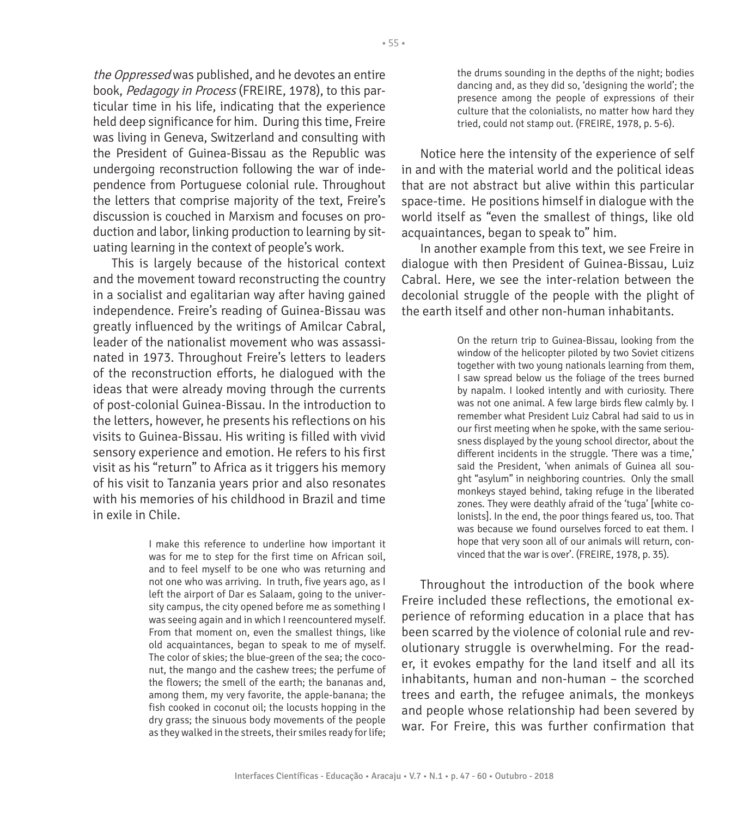the Oppressed was published, and he devotes an entire book, Pedagogy in Process (FREIRE, 1978), to this particular time in his life, indicating that the experience held deep significance for him. During this time, Freire was living in Geneva, Switzerland and consulting with the President of Guinea-Bissau as the Republic was undergoing reconstruction following the war of independence from Portuguese colonial rule. Throughout the letters that comprise majority of the text, Freire's discussion is couched in Marxism and focuses on production and labor, linking production to learning by situating learning in the context of people's work.

This is largely because of the historical context and the movement toward reconstructing the country in a socialist and egalitarian way after having gained independence. Freire's reading of Guinea-Bissau was greatly influenced by the writings of Amilcar Cabral, leader of the nationalist movement who was assassinated in 1973. Throughout Freire's letters to leaders of the reconstruction efforts, he dialogued with the ideas that were already moving through the currents of post-colonial Guinea-Bissau. In the introduction to the letters, however, he presents his reflections on his visits to Guinea-Bissau. His writing is filled with vivid sensory experience and emotion. He refers to his first visit as his "return" to Africa as it triggers his memory of his visit to Tanzania years prior and also resonates with his memories of his childhood in Brazil and time in exile in Chile.

> I make this reference to underline how important it was for me to step for the first time on African soil, and to feel myself to be one who was returning and not one who was arriving. In truth, five years ago, as I left the airport of Dar es Salaam, going to the university campus, the city opened before me as something I was seeing again and in which I reencountered myself. From that moment on, even the smallest things, like old acquaintances, began to speak to me of myself. The color of skies; the blue-green of the sea; the coconut, the mango and the cashew trees; the perfume of the flowers; the smell of the earth; the bananas and, among them, my very favorite, the apple-banana; the fish cooked in coconut oil; the locusts hopping in the dry grass; the sinuous body movements of the people as they walked in the streets, their smiles ready for life;

the drums sounding in the depths of the night; bodies dancing and, as they did so, 'designing the world'; the presence among the people of expressions of their culture that the colonialists, no matter how hard they tried, could not stamp out. (FREIRE, 1978, p. 5-6).

Notice here the intensity of the experience of self in and with the material world and the political ideas that are not abstract but alive within this particular space-time. He positions himself in dialogue with the world itself as "even the smallest of things, like old acquaintances, began to speak to" him.

In another example from this text, we see Freire in dialogue with then President of Guinea-Bissau, Luiz Cabral. Here, we see the inter-relation between the decolonial struggle of the people with the plight of the earth itself and other non-human inhabitants.

> On the return trip to Guinea-Bissau, looking from the window of the helicopter piloted by two Soviet citizens together with two young nationals learning from them, I saw spread below us the foliage of the trees burned by napalm. I looked intently and with curiosity. There was not one animal. A few large birds flew calmly by. I remember what President Luiz Cabral had said to us in our first meeting when he spoke, with the same seriousness displayed by the young school director, about the different incidents in the struggle. 'There was a time,' said the President, 'when animals of Guinea all sought "asylum" in neighboring countries. Only the small monkeys stayed behind, taking refuge in the liberated zones. They were deathly afraid of the 'tuga' [white colonists]. In the end, the poor things feared us, too. That was because we found ourselves forced to eat them. I hope that very soon all of our animals will return, convinced that the war is over'. (FREIRE, 1978, p. 35).

Throughout the introduction of the book where Freire included these reflections, the emotional experience of reforming education in a place that has been scarred by the violence of colonial rule and revolutionary struggle is overwhelming. For the reader, it evokes empathy for the land itself and all its inhabitants, human and non-human – the scorched trees and earth, the refugee animals, the monkeys and people whose relationship had been severed by war. For Freire, this was further confirmation that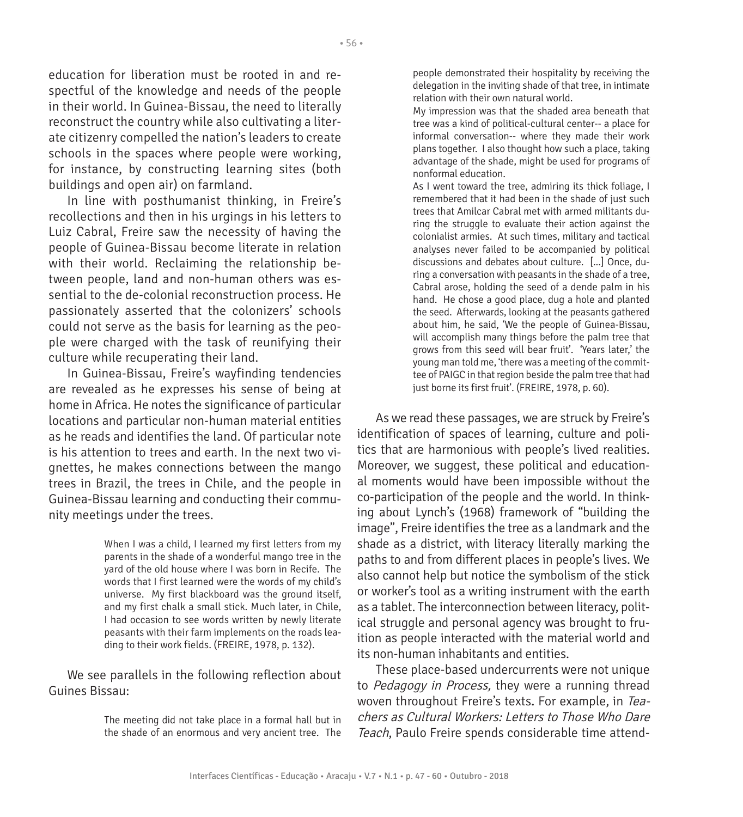education for liberation must be rooted in and respectful of the knowledge and needs of the people in their world. In Guinea-Bissau, the need to literally reconstruct the country while also cultivating a literate citizenry compelled the nation's leaders to create schools in the spaces where people were working, for instance, by constructing learning sites (both buildings and open air) on farmland.

In line with posthumanist thinking, in Freire's recollections and then in his urgings in his letters to Luiz Cabral, Freire saw the necessity of having the people of Guinea-Bissau become literate in relation with their world. Reclaiming the relationship between people, land and non-human others was essential to the de-colonial reconstruction process. He passionately asserted that the colonizers' schools could not serve as the basis for learning as the people were charged with the task of reunifying their culture while recuperating their land.

In Guinea-Bissau, Freire's wayfinding tendencies are revealed as he expresses his sense of being at home in Africa. He notes the significance of particular locations and particular non-human material entities as he reads and identifies the land. Of particular note is his attention to trees and earth. In the next two vignettes, he makes connections between the mango trees in Brazil, the trees in Chile, and the people in Guinea-Bissau learning and conducting their community meetings under the trees.

> When I was a child, I learned my first letters from my parents in the shade of a wonderful mango tree in the yard of the old house where I was born in Recife. The words that I first learned were the words of my child's universe. My first blackboard was the ground itself, and my first chalk a small stick. Much later, in Chile, I had occasion to see words written by newly literate peasants with their farm implements on the roads leading to their work fields. (FREIRE, 1978, p. 132).

We see parallels in the following reflection about Guines Bissau:

> The meeting did not take place in a formal hall but in the shade of an enormous and very ancient tree. The

people demonstrated their hospitality by receiving the delegation in the inviting shade of that tree, in intimate relation with their own natural world.

My impression was that the shaded area beneath that tree was a kind of political-cultural center-- a place for informal conversation-- where they made their work plans together. I also thought how such a place, taking advantage of the shade, might be used for programs of nonformal education.

As I went toward the tree, admiring its thick foliage, I remembered that it had been in the shade of just such trees that Amilcar Cabral met with armed militants during the struggle to evaluate their action against the colonialist armies. At such times, military and tactical analyses never failed to be accompanied by political discussions and debates about culture. [...] Once, during a conversation with peasants in the shade of a tree, Cabral arose, holding the seed of a dende palm in his hand. He chose a good place, dug a hole and planted the seed. Afterwards, looking at the peasants gathered about him, he said, 'We the people of Guinea-Bissau, will accomplish many things before the palm tree that grows from this seed will bear fruit'. 'Years later,' the young man told me, 'there was a meeting of the committee of PAIGC in that region beside the palm tree that had just borne its first fruit'. (FREIRE, 1978, p. 60).

As we read these passages, we are struck by Freire's identification of spaces of learning, culture and politics that are harmonious with people's lived realities. Moreover, we suggest, these political and educational moments would have been impossible without the co-participation of the people and the world. In thinking about Lynch's (1968) framework of "building the image", Freire identifies the tree as a landmark and the shade as a district, with literacy literally marking the paths to and from different places in people's lives. We also cannot help but notice the symbolism of the stick or worker's tool as a writing instrument with the earth as a tablet. The interconnection between literacy, political struggle and personal agency was brought to fruition as people interacted with the material world and its non-human inhabitants and entities.

These place-based undercurrents were not unique to Pedagogy in Process, they were a running thread woven throughout Freire's texts. For example, in Teachers as Cultural Workers: Letters to Those Who Dare Teach, Paulo Freire spends considerable time attend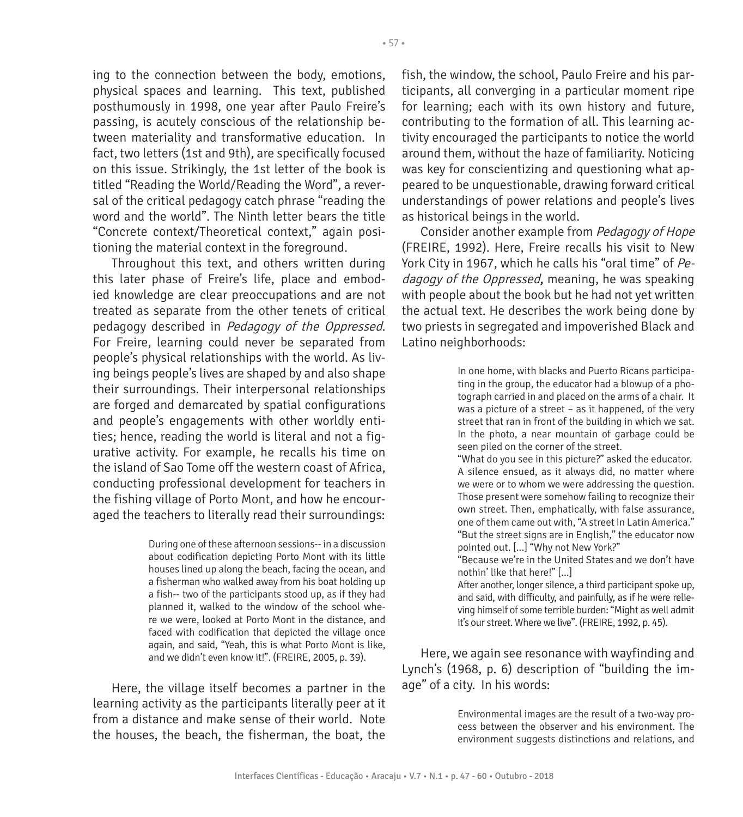ing to the connection between the body, emotions, physical spaces and learning. This text, published posthumously in 1998, one year after Paulo Freire's passing, is acutely conscious of the relationship between materiality and transformative education. In fact, two letters (1st and 9th), are specifically focused on this issue. Strikingly, the 1st letter of the book is titled "Reading the World/Reading the Word", a reversal of the critical pedagogy catch phrase "reading the word and the world". The Ninth letter bears the title "Concrete context/Theoretical context," again positioning the material context in the foreground.

Throughout this text, and others written during this later phase of Freire's life, place and embodied knowledge are clear preoccupations and are not treated as separate from the other tenets of critical pedagogy described in Pedagogy of the Oppressed. For Freire, learning could never be separated from people's physical relationships with the world. As living beings people's lives are shaped by and also shape their surroundings. Their interpersonal relationships are forged and demarcated by spatial configurations and people's engagements with other worldly entities; hence, reading the world is literal and not a figurative activity. For example, he recalls his time on the island of Sao Tome off the western coast of Africa, conducting professional development for teachers in the fishing village of Porto Mont, and how he encouraged the teachers to literally read their surroundings:

> During one of these afternoon sessions-- in a discussion about codification depicting Porto Mont with its little houses lined up along the beach, facing the ocean, and a fisherman who walked away from his boat holding up a fish-- two of the participants stood up, as if they had planned it, walked to the window of the school where we were, looked at Porto Mont in the distance, and faced with codification that depicted the village once again, and said, "Yeah, this is what Porto Mont is like, and we didn't even know it!". (FREIRE, 2005, p. 39).

Here, the village itself becomes a partner in the learning activity as the participants literally peer at it from a distance and make sense of their world. Note the houses, the beach, the fisherman, the boat, the

fish, the window, the school, Paulo Freire and his participants, all converging in a particular moment ripe for learning; each with its own history and future, contributing to the formation of all. This learning activity encouraged the participants to notice the world around them, without the haze of familiarity. Noticing was key for conscientizing and questioning what appeared to be unquestionable, drawing forward critical understandings of power relations and people's lives as historical beings in the world.

Consider another example from Pedagogy of Hope (FREIRE, 1992). Here, Freire recalls his visit to New York City in 1967, which he calls his "oral time" of Pedagogy of the Oppressed, meaning, he was speaking with people about the book but he had not yet written the actual text. He describes the work being done by two priests in segregated and impoverished Black and Latino neighborhoods:

> In one home, with blacks and Puerto Ricans participating in the group, the educator had a blowup of a photograph carried in and placed on the arms of a chair. It was a picture of a street – as it happened, of the very street that ran in front of the building in which we sat. In the photo, a near mountain of garbage could be seen piled on the corner of the street.

> "What do you see in this picture?" asked the educator. A silence ensued, as it always did, no matter where we were or to whom we were addressing the question. Those present were somehow failing to recognize their own street. Then, emphatically, with false assurance, one of them came out with, "A street in Latin America." "But the street signs are in English," the educator now pointed out. [...] "Why not New York?"

> "Because we're in the United States and we don't have nothin' like that here!" [...]

> After another, longer silence, a third participant spoke up, and said, with difficulty, and painfully, as if he were relieving himself of some terrible burden: "Might as well admit it's our street. Where we live". (FREIRE, 1992, p. 45).

Here, we again see resonance with wayfinding and Lynch's (1968, p. 6) description of "building the image" of a city. In his words:

> Environmental images are the result of a two-way process between the observer and his environment. The environment suggests distinctions and relations, and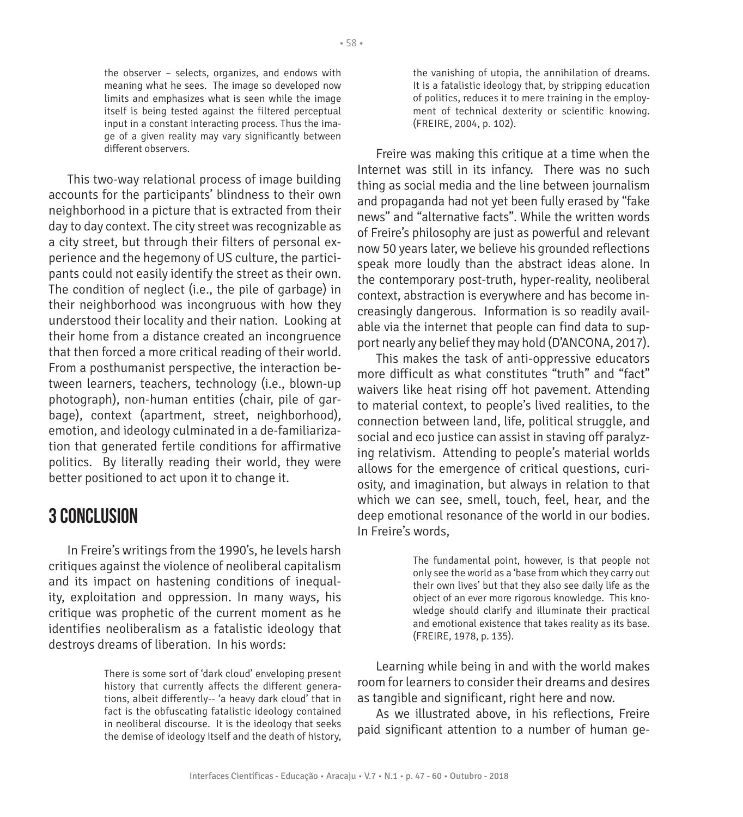the observer – selects, organizes, and endows with meaning what he sees. The image so developed now limits and emphasizes what is seen while the image itself is being tested against the filtered perceptual input in a constant interacting process. Thus the image of a given reality may vary significantly between different observers.

This two-way relational process of image building accounts for the participants' blindness to their own neighborhood in a picture that is extracted from their day to day context. The city street was recognizable as a city street, but through their filters of personal experience and the hegemony of US culture, the participants could not easily identify the street as their own. The condition of neglect (i.e., the pile of garbage) in their neighborhood was incongruous with how they understood their locality and their nation. Looking at their home from a distance created an incongruence that then forced a more critical reading of their world. From a posthumanist perspective, the interaction between learners, teachers, technology (i.e., blown-up photograph), non-human entities (chair, pile of garbage), context (apartment, street, neighborhood), emotion, and ideology culminated in a de-familiarization that generated fertile conditions for affirmative politics. By literally reading their world, they were better positioned to act upon it to change it.

## **3 CONCLUSION**

In Freire's writings from the 1990's, he levels harsh critiques against the violence of neoliberal capitalism and its impact on hastening conditions of inequality, exploitation and oppression. In many ways, his critique was prophetic of the current moment as he identifies neoliberalism as a fatalistic ideology that destroys dreams of liberation. In his words:

> There is some sort of 'dark cloud' enveloping present history that currently affects the different generations, albeit differently-- 'a heavy dark cloud' that in fact is the obfuscating fatalistic ideology contained in neoliberal discourse. It is the ideology that seeks the demise of ideology itself and the death of history,

the vanishing of utopia, the annihilation of dreams. It is a fatalistic ideology that, by stripping education of politics, reduces it to mere training in the employment of technical dexterity or scientific knowing. (FREIRE, 2004, p. 102).

Freire was making this critique at a time when the Internet was still in its infancy. There was no such thing as social media and the line between journalism and propaganda had not yet been fully erased by "fake news" and "alternative facts". While the written words of Freire's philosophy are just as powerful and relevant now 50 years later, we believe his grounded reflections speak more loudly than the abstract ideas alone. In the contemporary post-truth, hyper-reality, neoliberal context, abstraction is everywhere and has become increasingly dangerous. Information is so readily available via the internet that people can find data to support nearly any belief they may hold (D'ANCONA, 2017).

This makes the task of anti-oppressive educators more difficult as what constitutes "truth" and "fact" waivers like heat rising off hot pavement. Attending to material context, to people's lived realities, to the connection between land, life, political struggle, and social and eco justice can assist in staving off paralyzing relativism. Attending to people's material worlds allows for the emergence of critical questions, curiosity, and imagination, but always in relation to that which we can see, smell, touch, feel, hear, and the deep emotional resonance of the world in our bodies. In Freire's words,

> The fundamental point, however, is that people not only see the world as a 'base from which they carry out their own lives' but that they also see daily life as the object of an ever more rigorous knowledge. This knowledge should clarify and illuminate their practical and emotional existence that takes reality as its base. (FREIRE, 1978, p. 135).

Learning while being in and with the world makes room for learners to consider their dreams and desires as tangible and significant, right here and now.

As we illustrated above, in his reflections, Freire paid significant attention to a number of human ge-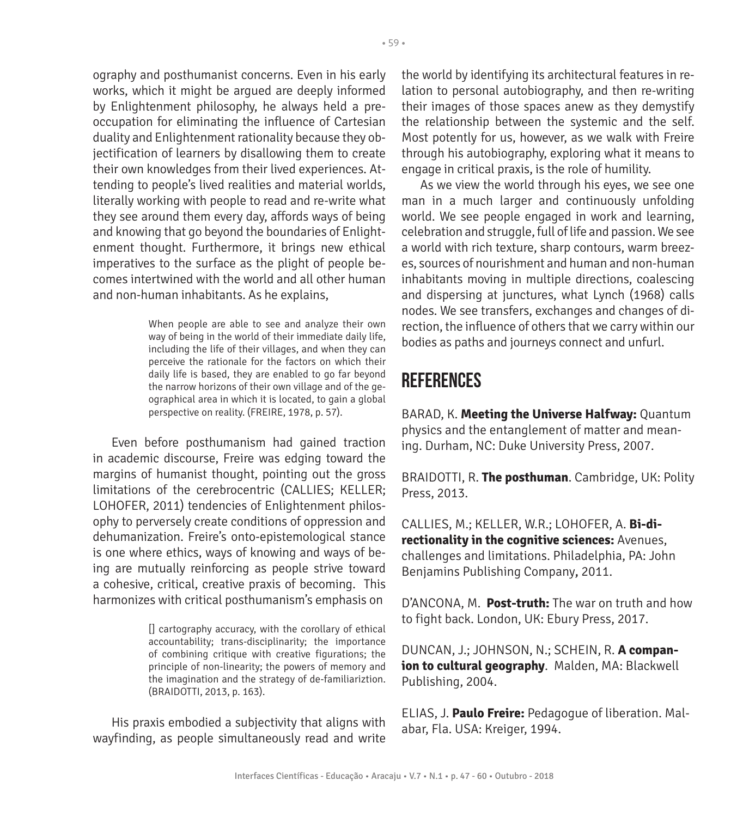ography and posthumanist concerns. Even in his early works, which it might be argued are deeply informed by Enlightenment philosophy, he always held a preoccupation for eliminating the influence of Cartesian duality and Enlightenment rationality because they objectification of learners by disallowing them to create their own knowledges from their lived experiences. Attending to people's lived realities and material worlds, literally working with people to read and re-write what they see around them every day, affords ways of being and knowing that go beyond the boundaries of Enlightenment thought. Furthermore, it brings new ethical imperatives to the surface as the plight of people becomes intertwined with the world and all other human and non-human inhabitants. As he explains,

> When people are able to see and analyze their own way of being in the world of their immediate daily life, including the life of their villages, and when they can perceive the rationale for the factors on which their daily life is based, they are enabled to go far beyond the narrow horizons of their own village and of the geographical area in which it is located, to gain a global perspective on reality. (FREIRE, 1978, p. 57).

Even before posthumanism had gained traction in academic discourse, Freire was edging toward the margins of humanist thought, pointing out the gross limitations of the cerebrocentric (CALLIES; KELLER; LOHOFER, 2011) tendencies of Enlightenment philosophy to perversely create conditions of oppression and dehumanization. Freire's onto-epistemological stance is one where ethics, ways of knowing and ways of being are mutually reinforcing as people strive toward a cohesive, critical, creative praxis of becoming. This harmonizes with critical posthumanism's emphasis on

> $[$ ] cartography accuracy, with the corollary of ethical accountability; trans-disciplinarity; the importance of combining critique with creative figurations; the principle of non-linearity; the powers of memory and the imagination and the strategy of de-familiariztion. (BRAIDOTTI, 2013, p. 163).

His praxis embodied a subjectivity that aligns with wayfinding, as people simultaneously read and write

the world by identifying its architectural features in relation to personal autobiography, and then re-writing their images of those spaces anew as they demystify the relationship between the systemic and the self. Most potently for us, however, as we walk with Freire through his autobiography, exploring what it means to engage in critical praxis, is the role of humility.

As we view the world through his eyes, we see one man in a much larger and continuously unfolding world. We see people engaged in work and learning, celebration and struggle, full of life and passion. We see a world with rich texture, sharp contours, warm breezes, sources of nourishment and human and non-human inhabitants moving in multiple directions, coalescing and dispersing at junctures, what Lynch (1968) calls nodes. We see transfers, exchanges and changes of direction, the influence of others that we carry within our bodies as paths and journeys connect and unfurl.

### **REFERENCES**

BARAD, K. **Meeting the Universe Halfway:** Quantum physics and the entanglement of matter and meaning. Durham, NC: Duke University Press, 2007.

BRAIDOTTI, R. **The posthuman**. Cambridge, UK: Polity Press, 2013.

CALLIES, M.; KELLER, W.R.; LOHOFER, A. **Bi-directionality in the cognitive sciences:** Avenues, challenges and limitations. Philadelphia, PA: John Benjamins Publishing Company, 2011.

D'ANCONA, M. **Post-truth:** The war on truth and how to fight back. London, UK: Ebury Press, 2017.

DUNCAN, J.; JOHNSON, N.; SCHEIN, R. **A companion to cultural geography**. Malden, MA: Blackwell Publishing, 2004.

ELIAS, J. **Paulo Freire:** Pedagogue of liberation. Malabar, Fla. USA: Kreiger, 1994.